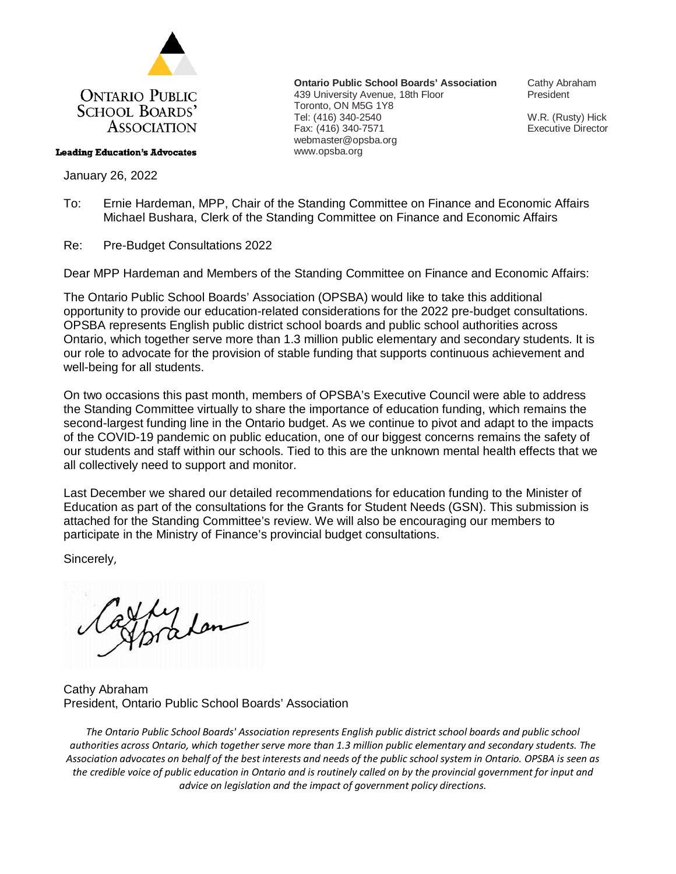

#### **Leading Education's Advocates**

January 26, 2022

**Ontario Public School Boards' Association** 439 University Avenue, 18th Floor Toronto, ON M5G 1Y8 Tel: (416) 340-2540 Fax: (416) 340-7571 webmaster@opsba.org www.opsba.org

Cathy Abraham President

W.R. (Rusty) Hick Executive Director

To: Ernie Hardeman, MPP, Chair of the Standing Committee on Finance and Economic Affairs Michael Bushara, Clerk of the Standing Committee on Finance and Economic Affairs

Re: Pre-Budget Consultations 2022

Dear MPP Hardeman and Members of the Standing Committee on Finance and Economic Affairs:

The Ontario Public School Boards' Association (OPSBA) would like to take this additional opportunity to provide our education-related considerations for the 2022 pre-budget consultations. OPSBA represents English public district school boards and public school authorities across Ontario, which together serve more than 1.3 million public elementary and secondary students. It is our role to advocate for the provision of stable funding that supports continuous achievement and well-being for all students.

On two occasions this past month, members of OPSBA's Executive Council were able to address the Standing Committee virtually to share the importance of education funding, which remains the second-largest funding line in the Ontario budget. As we continue to pivot and adapt to the impacts of the COVID-19 pandemic on public education, one of our biggest concerns remains the safety of our students and staff within our schools. Tied to this are the unknown mental health effects that we all collectively need to support and monitor.

Last December we shared our detailed recommendations for education funding to the Minister of Education as part of the consultations for the Grants for Student Needs (GSN). This submission is attached for the Standing Committee's review. We will also be encouraging our members to participate in the Ministry of Finance's provincial budget consultations.

Sincerely,

Thradan

Cathy Abraham President, Ontario Public School Boards' Association

*The Ontario Public School Boards' Association represents English public district school boards and public school authorities across Ontario, which together serve more than 1.3 million public elementary and secondary students. The Association advocates on behalf of the best interests and needs of the public school system in Ontario. OPSBA is seen as the credible voice of public education in Ontario and is routinely called on by the provincial government for input and advice on legislation and the impact of government policy directions.*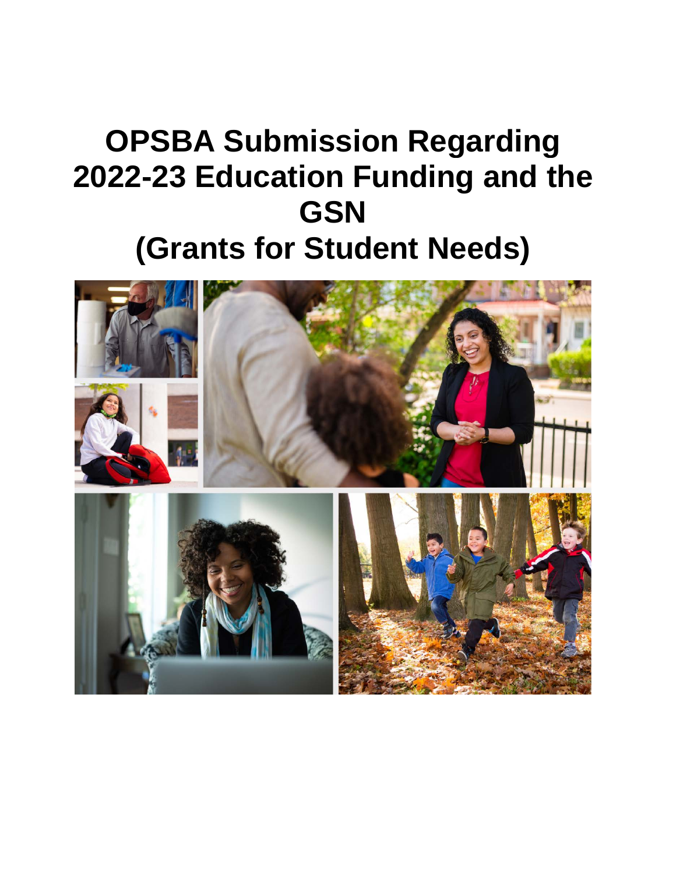# **OPSBA Submission Regarding 2022-23 Education Funding and the GSN (Grants for Student Needs)**

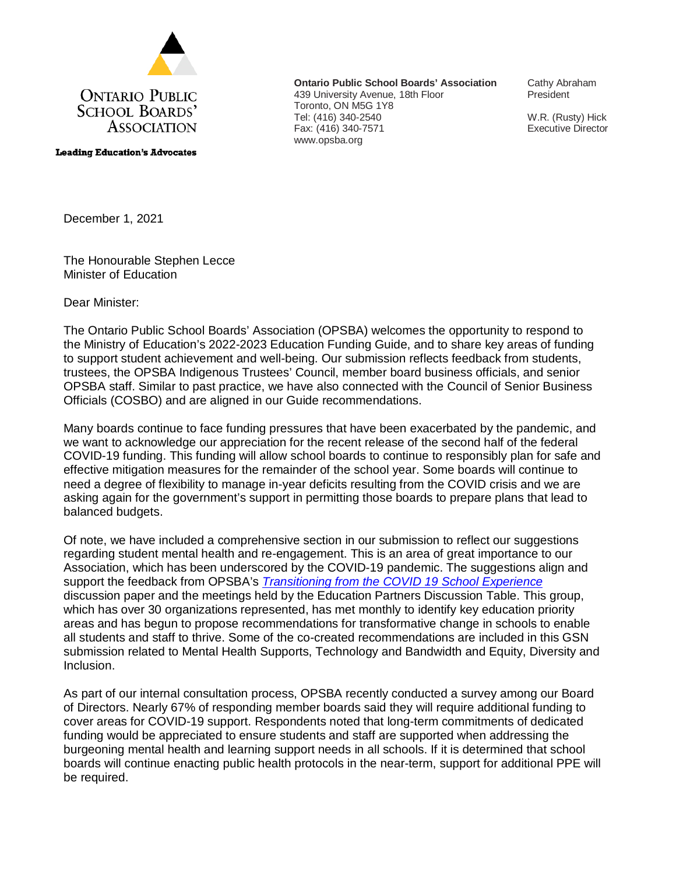

**Leading Education's Advocates** 

**Ontario Public School Boards' Association** 439 University Avenue, 18th Floor Toronto, ON M5G 1Y8 Tel: (416) 340-2540 Fax: (416) 340-7571 www.opsba.org

Cathy Abraham President

W.R. (Rusty) Hick Executive Director

December 1, 2021

The Honourable Stephen Lecce Minister of Education

Dear Minister:

The Ontario Public School Boards' Association (OPSBA) welcomes the opportunity to respond to the Ministry of Education's 2022-2023 Education Funding Guide, and to share key areas of funding to support student achievement and well-being. Our submission reflects feedback from students, trustees, the OPSBA Indigenous Trustees' Council, member board business officials, and senior OPSBA staff. Similar to past practice, we have also connected with the Council of Senior Business Officials (COSBO) and are aligned in our Guide recommendations.

Many boards continue to face funding pressures that have been exacerbated by the pandemic, and we want to acknowledge our appreciation for the recent release of the second half of the federal COVID-19 funding. This funding will allow school boards to continue to responsibly plan for safe and effective mitigation measures for the remainder of the school year. Some boards will continue to need a degree of flexibility to manage in-year deficits resulting from the COVID crisis and we are asking again for the government's support in permitting those boards to prepare plans that lead to balanced budgets.

Of note, we have included a comprehensive section in our submission to reflect our suggestions regarding student mental health and re-engagement. This is an area of great importance to our Association, which has been underscored by the COVID-19 pandemic. The suggestions align and support the feedback from OPSBA's *Transitioning from the COVID 19 School Experience* discussion paper and the meetings held by the Education Partners Discussion Table. This group, which has over 30 organizations represented, has met monthly to identify key education priority areas and has begun to propose recommendations for transformative change in schools to enable all students and staff to thrive. Some of the co-created recommendations are included in this GSN submission related to Mental Health Supports, Technology and Bandwidth and Equity, Diversity and Inclusion.

As part of our internal consultation process, OPSBA recently conducted a survey among our Board of Directors. Nearly 67% of responding member boards said they will require additional funding to cover areas for COVID-19 support. Respondents noted that long-term commitments of dedicated funding would be appreciated to ensure students and staff are supported when addressing the burgeoning mental health and learning support needs in all schools. If it is determined that school boards will continue enacting public health protocols in the near-term, support for additional PPE will be required.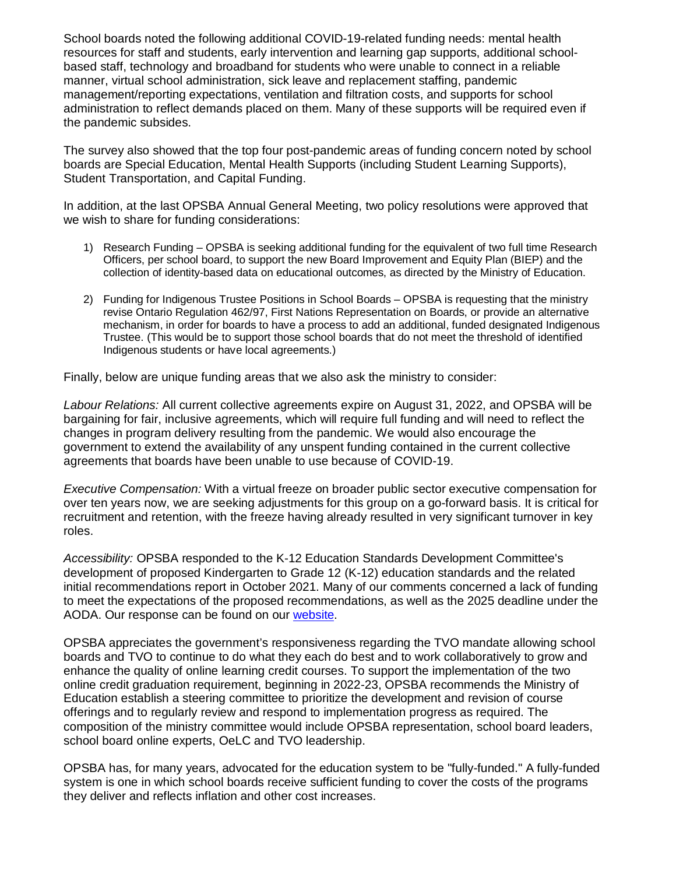School boards noted the following additional COVID-19-related funding needs: mental health resources for staff and students, early intervention and learning gap supports, additional schoolbased staff, technology and broadband for students who were unable to connect in a reliable manner, virtual school administration, sick leave and replacement staffing, pandemic management/reporting expectations, ventilation and filtration costs, and supports for school administration to reflect demands placed on them. Many of these supports will be required even if the pandemic subsides.

The survey also showed that the top four post-pandemic areas of funding concern noted by school boards are Special Education, Mental Health Supports (including Student Learning Supports), Student Transportation, and Capital Funding.

In addition, at the last OPSBA Annual General Meeting, two policy resolutions were approved that we wish to share for funding considerations:

- 1) Research Funding OPSBA is seeking additional funding for the equivalent of two full time Research Officers, per school board, to support the new Board Improvement and Equity Plan (BIEP) and the collection of identity-based data on educational outcomes, as directed by the Ministry of Education.
- 2) Funding for Indigenous Trustee Positions in School Boards OPSBA is requesting that the ministry revise Ontario Regulation 462/97, First Nations Representation on Boards, or provide an alternative mechanism, in order for boards to have a process to add an additional, funded designated Indigenous Trustee. (This would be to support those school boards that do not meet the threshold of identified Indigenous students or have local agreements.)

Finally, below are unique funding areas that we also ask the ministry to consider:

*Labour Relations:* All current collective agreements expire on August 31, 2022, and OPSBA will be bargaining for fair, inclusive agreements, which will require full funding and will need to reflect the changes in program delivery resulting from the pandemic. We would also encourage the government to extend the availability of any unspent funding contained in the current collective agreements that boards have been unable to use because of COVID-19.

*Executive Compensation:* With a virtual freeze on broader public sector executive compensation for over ten years now, we are seeking adjustments for this group on a go-forward basis. It is critical for recruitment and retention, with the freeze having already resulted in very significant turnover in key roles.

*Accessibility:* OPSBA responded to the K-12 Education Standards Development Committee's development of proposed Kindergarten to Grade 12 (K-12) education standards and the related initial recommendations report in October 2021. Many of our comments concerned a lack of funding to meet the expectations of the proposed recommendations, as well as the 2025 deadline under the AODA. Our response can be found on our [website.](https://www.opsba.org/wp-content/uploads/2021/10/OPSBASubmission_EducationAccessibilityStandardRecommendations2021_final.pdf)

OPSBA appreciates the government's responsiveness regarding the TVO mandate allowing school boards and TVO to continue to do what they each do best and to work collaboratively to grow and enhance the quality of online learning credit courses. To support the implementation of the two online credit graduation requirement, beginning in 2022-23, OPSBA recommends the Ministry of Education establish a steering committee to prioritize the development and revision of course offerings and to regularly review and respond to implementation progress as required. The composition of the ministry committee would include OPSBA representation, school board leaders, school board online experts, OeLC and TVO leadership.

OPSBA has, for many years, advocated for the education system to be "fully-funded." A fully-funded system is one in which school boards receive sufficient funding to cover the costs of the programs they deliver and reflects inflation and other cost increases.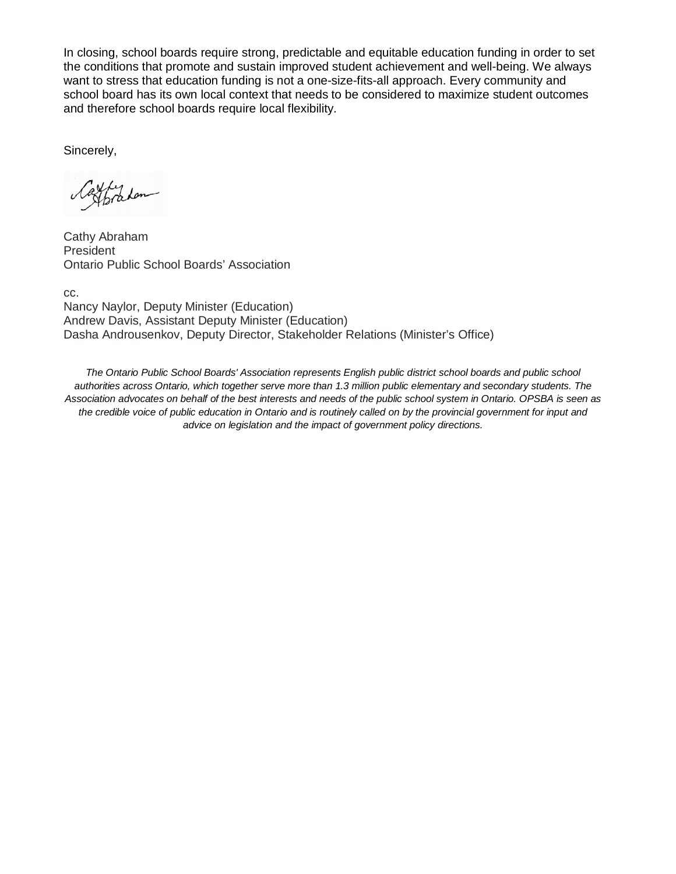In closing, school boards require strong, predictable and equitable education funding in order to set the conditions that promote and sustain improved student achievement and well-being. We always want to stress that education funding is not a one-size-fits-all approach. Every community and school board has its own local context that needs to be considered to maximize student outcomes and therefore school boards require local flexibility.

Sincerely,

Ly Lon

Cathy Abraham President Ontario Public School Boards' Association

cc. Nancy Naylor, Deputy Minister (Education) Andrew Davis, Assistant Deputy Minister (Education) Dasha Androusenkov, Deputy Director, Stakeholder Relations (Minister's Office)

*The Ontario Public School Boards' Association represents English public district school boards and public school authorities across Ontario, which together serve more than 1.3 million public elementary and secondary students. The Association advocates on behalf of the best interests and needs of the public school system in Ontario. OPSBA is seen as the credible voice of public education in Ontario and is routinely called on by the provincial government for input and advice on legislation and the impact of government policy directions.*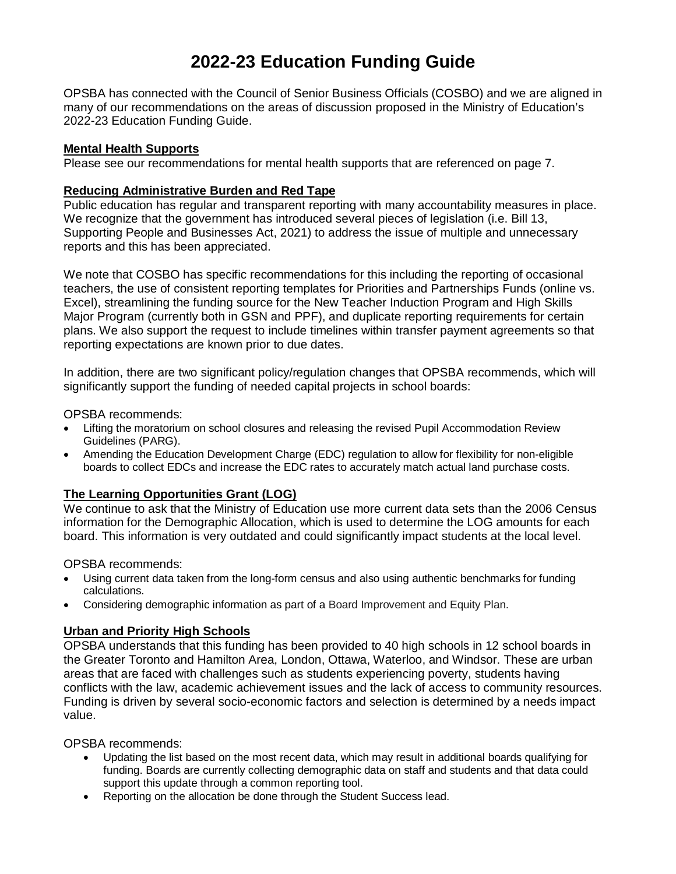### **2022-23 Education Funding Guide**

OPSBA has connected with the Council of Senior Business Officials (COSBO) and we are aligned in many of our recommendations on the areas of discussion proposed in the Ministry of Education's 2022-23 Education Funding Guide.

#### **Mental Health Supports**

Please see our recommendations for mental health supports that are referenced on page 7.

#### **Reducing Administrative Burden and Red Tape**

Public education has regular and transparent reporting with many accountability measures in place. We recognize that the government has introduced several pieces of legislation (i.e. Bill 13, Supporting People and Businesses Act, 2021) to address the issue of multiple and unnecessary reports and this has been appreciated.

We note that COSBO has specific recommendations for this including the reporting of occasional teachers, the use of consistent reporting templates for Priorities and Partnerships Funds (online vs. Excel), streamlining the funding source for the New Teacher Induction Program and High Skills Major Program (currently both in GSN and PPF), and duplicate reporting requirements for certain plans. We also support the request to include timelines within transfer payment agreements so that reporting expectations are known prior to due dates.

In addition, there are two significant policy/regulation changes that OPSBA recommends, which will significantly support the funding of needed capital projects in school boards:

OPSBA recommends:

- Lifting the moratorium on school closures and releasing the revised Pupil Accommodation Review Guidelines (PARG).
- Amending the Education Development Charge (EDC) regulation to allow for flexibility for non-eligible boards to collect EDCs and increase the EDC rates to accurately match actual land purchase costs.

#### **The Learning Opportunities Grant (LOG)**

We continue to ask that the Ministry of Education use more current data sets than the 2006 Census information for the Demographic Allocation, which is used to determine the LOG amounts for each board. This information is very outdated and could significantly impact students at the local level.

OPSBA recommends:

- Using current data taken from the long-form census and also using authentic benchmarks for funding calculations.
- Considering demographic information as part of a Board Improvement and Equity Plan.

#### **Urban and Priority High Schools**

OPSBA understands that this funding has been provided to 40 high schools in 12 school boards in the Greater Toronto and Hamilton Area, London, Ottawa, Waterloo, and Windsor. These are urban areas that are faced with challenges such as students experiencing poverty, students having conflicts with the law, academic achievement issues and the lack of access to community resources. Funding is driven by several socio-economic factors and selection is determined by a needs impact value.

OPSBA recommends:

- Updating the list based on the most recent data, which may result in additional boards qualifying for funding. Boards are currently collecting demographic data on staff and students and that data could support this update through a common reporting tool.
- Reporting on the allocation be done through the Student Success lead.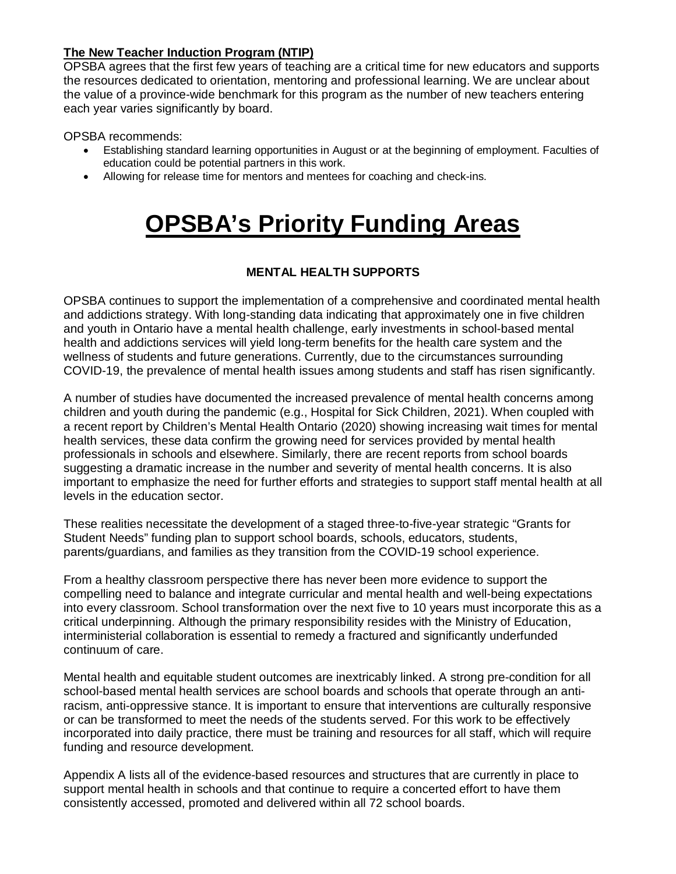#### **The New Teacher Induction Program (NTIP)**

OPSBA agrees that the first few years of teaching are a critical time for new educators and supports the resources dedicated to orientation, mentoring and professional learning. We are unclear about the value of a province-wide benchmark for this program as the number of new teachers entering each year varies significantly by board.

OPSBA recommends:

- Establishing standard learning opportunities in August or at the beginning of employment. Faculties of education could be potential partners in this work.
- Allowing for release time for mentors and mentees for coaching and check-ins.

## **OPSBA's Priority Funding Areas**

#### **MENTAL HEALTH SUPPORTS**

OPSBA continues to support the implementation of a comprehensive and coordinated mental health and addictions strategy. With long-standing data indicating that approximately one in five children and youth in Ontario have a mental health challenge, early investments in school-based mental health and addictions services will yield long-term benefits for the health care system and the wellness of students and future generations. Currently, due to the circumstances surrounding COVID-19, the prevalence of mental health issues among students and staff has risen significantly.

A number of studies have documented the increased prevalence of mental health concerns among children and youth during the pandemic (e.g., Hospital for Sick Children, 2021). When coupled with a recent report by Children's Mental Health Ontario (2020) showing increasing wait times for mental health services, these data confirm the growing need for services provided by mental health professionals in schools and elsewhere. Similarly, there are recent reports from school boards suggesting a dramatic increase in the number and severity of mental health concerns. It is also important to emphasize the need for further efforts and strategies to support staff mental health at all levels in the education sector.

These realities necessitate the development of a staged three-to-five-year strategic "Grants for Student Needs" funding plan to support school boards, schools, educators, students, parents/guardians, and families as they transition from the COVID-19 school experience.

From a healthy classroom perspective there has never been more evidence to support the compelling need to balance and integrate curricular and mental health and well-being expectations into every classroom. School transformation over the next five to 10 years must incorporate this as a critical underpinning. Although the primary responsibility resides with the Ministry of Education, interministerial collaboration is essential to remedy a fractured and significantly underfunded continuum of care.

Mental health and equitable student outcomes are inextricably linked. A strong pre-condition for all school-based mental health services are school boards and schools that operate through an antiracism, anti-oppressive stance. It is important to ensure that interventions are culturally responsive or can be transformed to meet the needs of the students served. For this work to be effectively incorporated into daily practice, there must be training and resources for all staff, which will require funding and resource development.

Appendix A lists all of the evidence-based resources and structures that are currently in place to support mental health in schools and that continue to require a concerted effort to have them consistently accessed, promoted and delivered within all 72 school boards.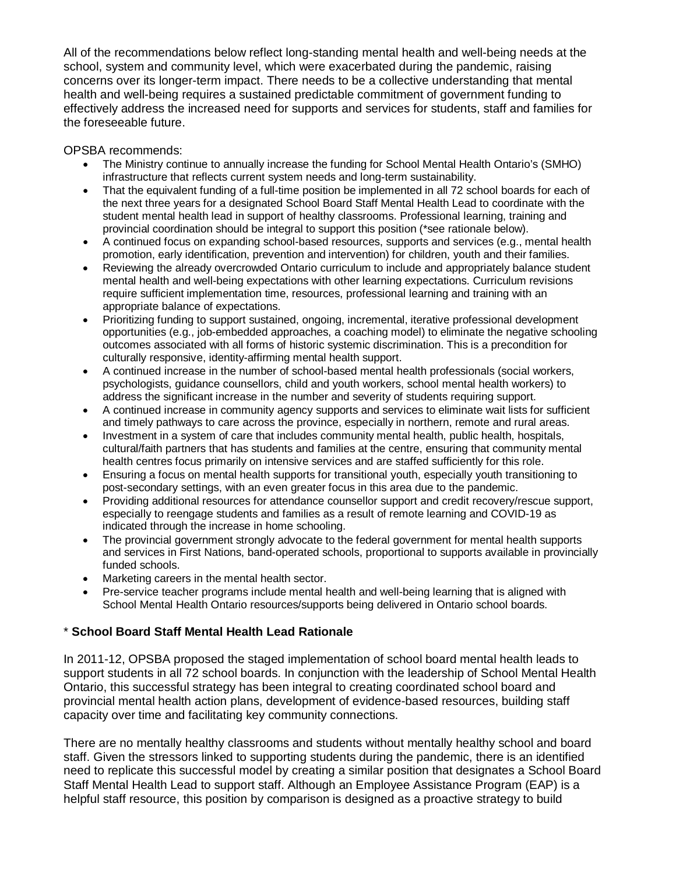All of the recommendations below reflect long-standing mental health and well-being needs at the school, system and community level, which were exacerbated during the pandemic, raising concerns over its longer-term impact. There needs to be a collective understanding that mental health and well-being requires a sustained predictable commitment of government funding to effectively address the increased need for supports and services for students, staff and families for the foreseeable future.

OPSBA recommends:

- The Ministry continue to annually increase the funding for School Mental Health Ontario's (SMHO) infrastructure that reflects current system needs and long-term sustainability.
- That the equivalent funding of a full-time position be implemented in all 72 school boards for each of the next three years for a designated School Board Staff Mental Health Lead to coordinate with the student mental health lead in support of healthy classrooms. Professional learning, training and provincial coordination should be integral to support this position (\*see rationale below).
- A continued focus on expanding school-based resources, supports and services (e.g., mental health promotion, early identification, prevention and intervention) for children, youth and their families.
- Reviewing the already overcrowded Ontario curriculum to include and appropriately balance student mental health and well-being expectations with other learning expectations. Curriculum revisions require sufficient implementation time, resources, professional learning and training with an appropriate balance of expectations.
- Prioritizing funding to support sustained, ongoing, incremental, iterative professional development opportunities (e.g., job-embedded approaches, a coaching model) to eliminate the negative schooling outcomes associated with all forms of historic systemic discrimination. This is a precondition for culturally responsive, identity-affirming mental health support.
- A continued increase in the number of school-based mental health professionals (social workers, psychologists, guidance counsellors, child and youth workers, school mental health workers) to address the significant increase in the number and severity of students requiring support.
- A continued increase in community agency supports and services to eliminate wait lists for sufficient and timely pathways to care across the province, especially in northern, remote and rural areas.
- Investment in a system of care that includes community mental health, public health, hospitals, cultural/faith partners that has students and families at the centre, ensuring that community mental health centres focus primarily on intensive services and are staffed sufficiently for this role.
- Ensuring a focus on mental health supports for transitional youth, especially youth transitioning to post-secondary settings, with an even greater focus in this area due to the pandemic.
- Providing additional resources for attendance counsellor support and credit recovery/rescue support, especially to reengage students and families as a result of remote learning and COVID-19 as indicated through the increase in home schooling.
- The provincial government strongly advocate to the federal government for mental health supports and services in First Nations, band-operated schools, proportional to supports available in provincially funded schools.
- Marketing careers in the mental health sector.
- Pre-service teacher programs include mental health and well-being learning that is aligned with School Mental Health Ontario resources/supports being delivered in Ontario school boards.

#### \* **School Board Staff Mental Health Lead Rationale**

In 2011-12, OPSBA proposed the staged implementation of school board mental health leads to support students in all 72 school boards. In conjunction with the leadership of School Mental Health Ontario, this successful strategy has been integral to creating coordinated school board and provincial mental health action plans, development of evidence-based resources, building staff capacity over time and facilitating key community connections.

There are no mentally healthy classrooms and students without mentally healthy school and board staff. Given the stressors linked to supporting students during the pandemic, there is an identified need to replicate this successful model by creating a similar position that designates a School Board Staff Mental Health Lead to support staff. Although an Employee Assistance Program (EAP) is a helpful staff resource, this position by comparison is designed as a proactive strategy to build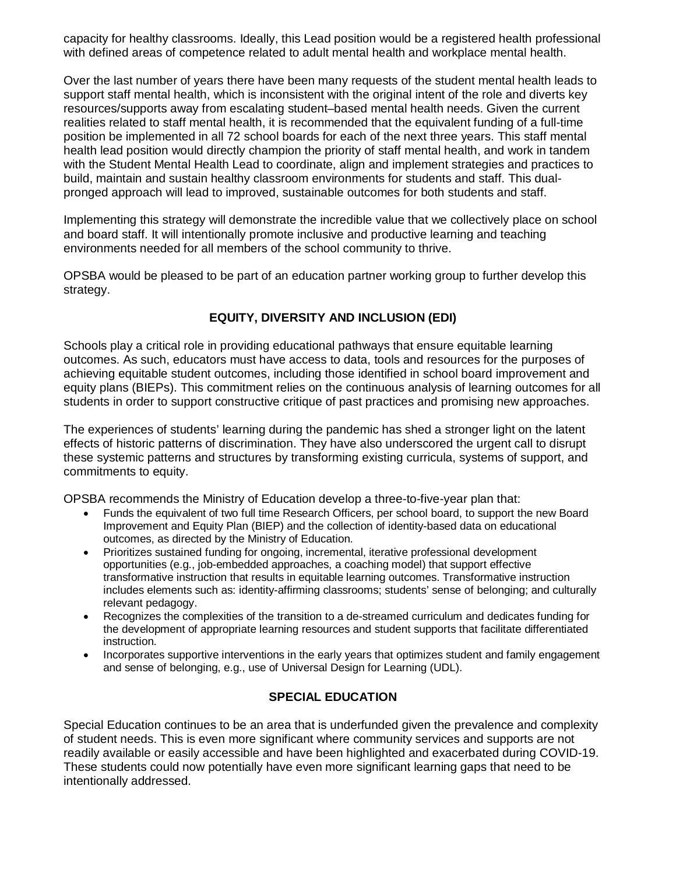capacity for healthy classrooms. Ideally, this Lead position would be a registered health professional with defined areas of competence related to adult mental health and workplace mental health.

Over the last number of years there have been many requests of the student mental health leads to support staff mental health, which is inconsistent with the original intent of the role and diverts key resources/supports away from escalating student–based mental health needs. Given the current realities related to staff mental health, it is recommended that the equivalent funding of a full-time position be implemented in all 72 school boards for each of the next three years. This staff mental health lead position would directly champion the priority of staff mental health, and work in tandem with the Student Mental Health Lead to coordinate, align and implement strategies and practices to build, maintain and sustain healthy classroom environments for students and staff. This dualpronged approach will lead to improved, sustainable outcomes for both students and staff.

Implementing this strategy will demonstrate the incredible value that we collectively place on school and board staff. It will intentionally promote inclusive and productive learning and teaching environments needed for all members of the school community to thrive.

OPSBA would be pleased to be part of an education partner working group to further develop this strategy.

#### **EQUITY, DIVERSITY AND INCLUSION (EDI)**

Schools play a critical role in providing educational pathways that ensure equitable learning outcomes. As such, educators must have access to data, tools and resources for the purposes of achieving equitable student outcomes, including those identified in school board improvement and equity plans (BIEPs). This commitment relies on the continuous analysis of learning outcomes for all students in order to support constructive critique of past practices and promising new approaches.

The experiences of students' learning during the pandemic has shed a stronger light on the latent effects of historic patterns of discrimination. They have also underscored the urgent call to disrupt these systemic patterns and structures by transforming existing curricula, systems of support, and commitments to equity.

OPSBA recommends the Ministry of Education develop a three-to-five-year plan that:

- Funds the equivalent of two full time Research Officers, per school board, to support the new Board Improvement and Equity Plan (BIEP) and the collection of identity-based data on educational outcomes, as directed by the Ministry of Education.
- Prioritizes sustained funding for ongoing, incremental, iterative professional development opportunities (e.g., job-embedded approaches, a coaching model) that support effective transformative instruction that results in equitable learning outcomes. Transformative instruction includes elements such as: identity-affirming classrooms; students' sense of belonging; and culturally relevant pedagogy.
- Recognizes the complexities of the transition to a de-streamed curriculum and dedicates funding for the development of appropriate learning resources and student supports that facilitate differentiated instruction.
- Incorporates supportive interventions in the early years that optimizes student and family engagement and sense of belonging, e.g., use of Universal Design for Learning (UDL).

#### **SPECIAL EDUCATION**

Special Education continues to be an area that is underfunded given the prevalence and complexity of student needs. This is even more significant where community services and supports are not readily available or easily accessible and have been highlighted and exacerbated during COVID-19. These students could now potentially have even more significant learning gaps that need to be intentionally addressed.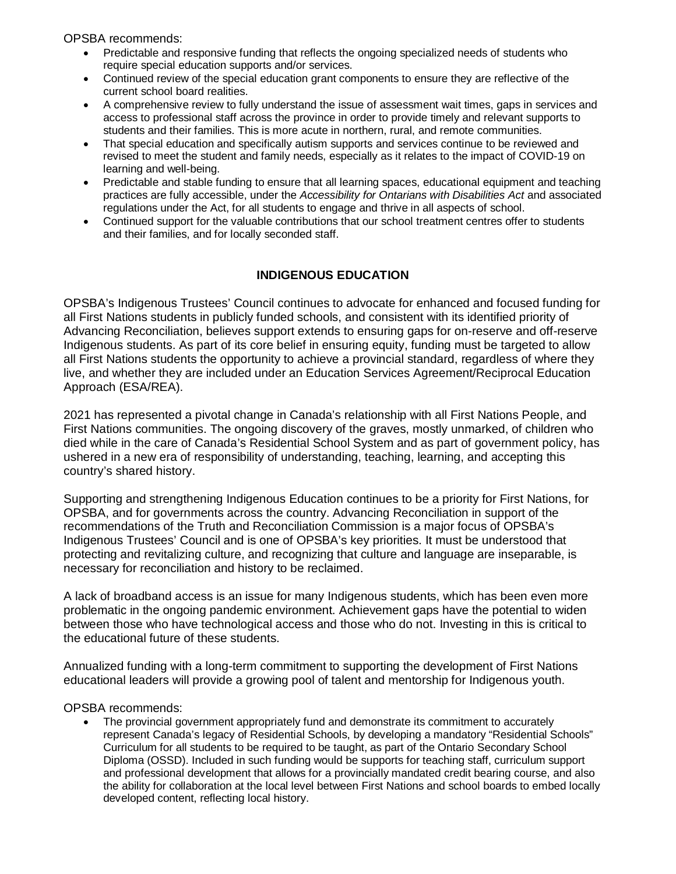OPSBA recommends:

- Predictable and responsive funding that reflects the ongoing specialized needs of students who require special education supports and/or services.
- Continued review of the special education grant components to ensure they are reflective of the current school board realities.
- A comprehensive review to fully understand the issue of assessment wait times, gaps in services and access to professional staff across the province in order to provide timely and relevant supports to students and their families. This is more acute in northern, rural, and remote communities.
- That special education and specifically autism supports and services continue to be reviewed and revised to meet the student and family needs, especially as it relates to the impact of COVID-19 on learning and well-being.
- Predictable and stable funding to ensure that all learning spaces, educational equipment and teaching practices are fully accessible, under the *Accessibility for Ontarians with Disabilities Act* and associated regulations under the Act, for all students to engage and thrive in all aspects of school.
- Continued support for the valuable contributions that our school treatment centres offer to students and their families, and for locally seconded staff.

#### **INDIGENOUS EDUCATION**

OPSBA's Indigenous Trustees' Council continues to advocate for enhanced and focused funding for all First Nations students in publicly funded schools, and consistent with its identified priority of Advancing Reconciliation, believes support extends to ensuring gaps for on-reserve and off-reserve Indigenous students. As part of its core belief in ensuring equity, funding must be targeted to allow all First Nations students the opportunity to achieve a provincial standard, regardless of where they live, and whether they are included under an Education Services Agreement/Reciprocal Education Approach (ESA/REA).

2021 has represented a pivotal change in Canada's relationship with all First Nations People, and First Nations communities. The ongoing discovery of the graves, mostly unmarked, of children who died while in the care of Canada's Residential School System and as part of government policy, has ushered in a new era of responsibility of understanding, teaching, learning, and accepting this country's shared history.

Supporting and strengthening Indigenous Education continues to be a priority for First Nations, for OPSBA, and for governments across the country. Advancing Reconciliation in support of the recommendations of the Truth and Reconciliation Commission is a major focus of OPSBA's Indigenous Trustees' Council and is one of OPSBA's key priorities. It must be understood that protecting and revitalizing culture, and recognizing that culture and language are inseparable, is necessary for reconciliation and history to be reclaimed.

A lack of broadband access is an issue for many Indigenous students, which has been even more problematic in the ongoing pandemic environment. Achievement gaps have the potential to widen between those who have technological access and those who do not. Investing in this is critical to the educational future of these students.

Annualized funding with a long-term commitment to supporting the development of First Nations educational leaders will provide a growing pool of talent and mentorship for Indigenous youth.

OPSBA recommends:

• The provincial government appropriately fund and demonstrate its commitment to accurately represent Canada's legacy of Residential Schools, by developing a mandatory "Residential Schools" Curriculum for all students to be required to be taught, as part of the Ontario Secondary School Diploma (OSSD). Included in such funding would be supports for teaching staff, curriculum support and professional development that allows for a provincially mandated credit bearing course, and also the ability for collaboration at the local level between First Nations and school boards to embed locally developed content, reflecting local history.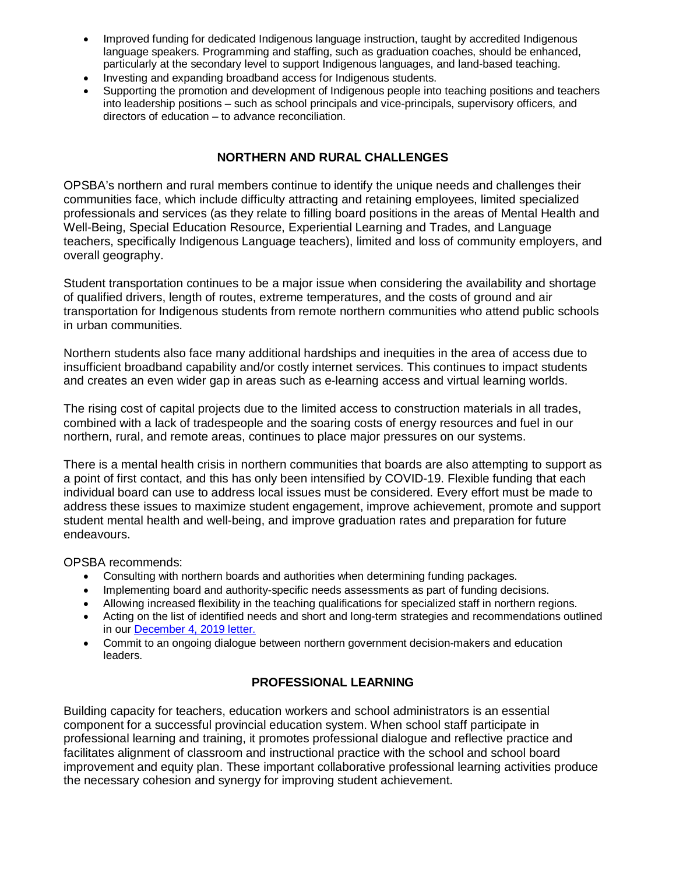- Improved funding for dedicated Indigenous language instruction, taught by accredited Indigenous language speakers. Programming and staffing, such as graduation coaches, should be enhanced, particularly at the secondary level to support Indigenous languages, and land-based teaching.
- Investing and expanding broadband access for Indigenous students.
- Supporting the promotion and development of Indigenous people into teaching positions and teachers into leadership positions – such as school principals and vice-principals, supervisory officers, and directors of education – to advance reconciliation.

#### **NORTHERN AND RURAL CHALLENGES**

OPSBA's northern and rural members continue to identify the unique needs and challenges their communities face, which include difficulty attracting and retaining employees, limited specialized professionals and services (as they relate to filling board positions in the areas of Mental Health and Well-Being, Special Education Resource, Experiential Learning and Trades, and Language teachers, specifically Indigenous Language teachers), limited and loss of community employers, and overall geography.

Student transportation continues to be a major issue when considering the availability and shortage of qualified drivers, length of routes, extreme temperatures, and the costs of ground and air transportation for Indigenous students from remote northern communities who attend public schools in urban communities.

Northern students also face many additional hardships and inequities in the area of access due to insufficient broadband capability and/or costly internet services. This continues to impact students and creates an even wider gap in areas such as e-learning access and virtual learning worlds.

The rising cost of capital projects due to the limited access to construction materials in all trades, combined with a lack of tradespeople and the soaring costs of energy resources and fuel in our northern, rural, and remote areas, continues to place major pressures on our systems.

There is a mental health crisis in northern communities that boards are also attempting to support as a point of first contact, and this has only been intensified by COVID-19. Flexible funding that each individual board can use to address local issues must be considered. Every effort must be made to address these issues to maximize student engagement, improve achievement, promote and support student mental health and well-being, and improve graduation rates and preparation for future endeavours.

OPSBA recommends:

- Consulting with northern boards and authorities when determining funding packages.
- Implementing board and authority-specific needs assessments as part of funding decisions.
- Allowing increased flexibility in the teaching qualifications for specialized staff in northern regions.
- Acting on the list of identified needs and short and long-term strategies and recommendations outlined in our [December 4, 2019 letter.](https://www.opsba.org/wp-content/uploads/2021/02/Minister-Leece-letter-Northern-School-Boards-Dec-4-2019.pdf)
- Commit to an ongoing dialogue between northern government decision-makers and education leaders.

#### **PROFESSIONAL LEARNING**

Building capacity for teachers, education workers and school administrators is an essential component for a successful provincial education system. When school staff participate in professional learning and training, it promotes professional dialogue and reflective practice and facilitates alignment of classroom and instructional practice with the school and school board improvement and equity plan. These important collaborative professional learning activities produce the necessary cohesion and synergy for improving student achievement.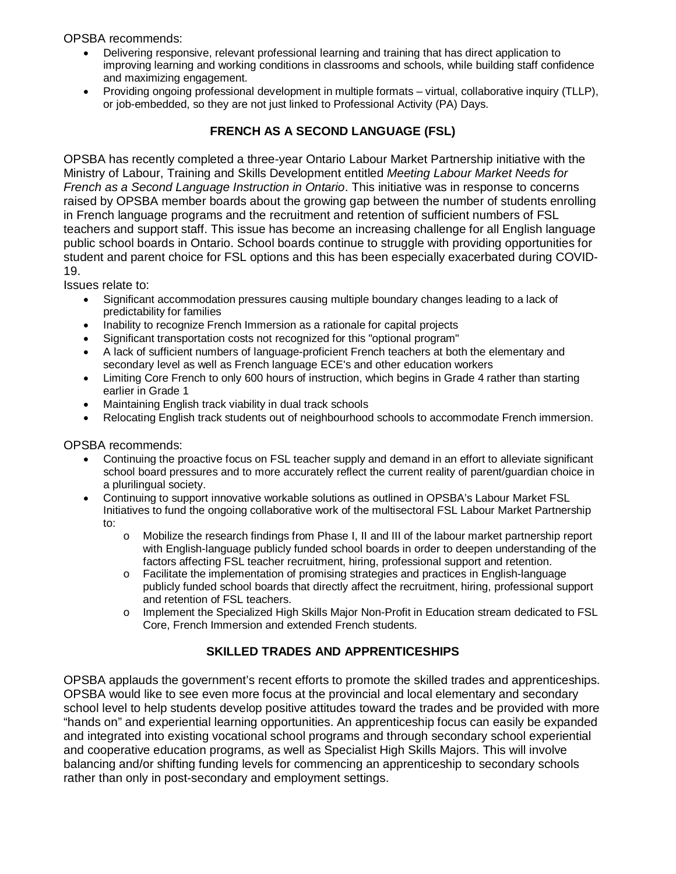OPSBA recommends:

- Delivering responsive, relevant professional learning and training that has direct application to improving learning and working conditions in classrooms and schools, while building staff confidence and maximizing engagement.
- Providing ongoing professional development in multiple formats virtual, collaborative inquiry (TLLP), or job-embedded, so they are not just linked to Professional Activity (PA) Days.

#### **FRENCH AS A SECOND LANGUAGE (FSL)**

OPSBA has recently completed a three-year Ontario Labour Market Partnership initiative with the Ministry of Labour, Training and Skills Development entitled *Meeting Labour Market Needs for French as a Second Language Instruction in Ontario*. This initiative was in response to concerns raised by OPSBA member boards about the growing gap between the number of students enrolling in French language programs and the recruitment and retention of sufficient numbers of FSL teachers and support staff. This issue has become an increasing challenge for all English language public school boards in Ontario. School boards continue to struggle with providing opportunities for student and parent choice for FSL options and this has been especially exacerbated during COVID-19.

Issues relate to:

- Significant accommodation pressures causing multiple boundary changes leading to a lack of predictability for families
- Inability to recognize French Immersion as a rationale for capital projects
- Significant transportation costs not recognized for this "optional program"
- A lack of sufficient numbers of language-proficient French teachers at both the elementary and secondary level as well as French language ECE's and other education workers
- Limiting Core French to only 600 hours of instruction, which begins in Grade 4 rather than starting earlier in Grade 1
- Maintaining English track viability in dual track schools
- Relocating English track students out of neighbourhood schools to accommodate French immersion.

OPSBA recommends:

- Continuing the proactive focus on FSL teacher supply and demand in an effort to alleviate significant school board pressures and to more accurately reflect the current reality of parent/guardian choice in a plurilingual society.
- Continuing to support innovative workable solutions as outlined in OPSBA's Labour Market FSL Initiatives to fund the ongoing collaborative work of the multisectoral FSL Labour Market Partnership to:
	- o Mobilize the research findings from Phase I, II and III of the labour market partnership report with English-language publicly funded school boards in order to deepen understanding of the factors affecting FSL teacher recruitment, hiring, professional support and retention.
	- o Facilitate the implementation of promising strategies and practices in English-language publicly funded school boards that directly affect the recruitment, hiring, professional support and retention of FSL teachers.
	- o Implement the Specialized High Skills Major Non-Profit in Education stream dedicated to FSL Core, French Immersion and extended French students.

#### **SKILLED TRADES AND APPRENTICESHIPS**

OPSBA applauds the government's recent efforts to promote the skilled trades and apprenticeships. OPSBA would like to see even more focus at the provincial and local elementary and secondary school level to help students develop positive attitudes toward the trades and be provided with more "hands on" and experiential learning opportunities. An apprenticeship focus can easily be expanded and integrated into existing vocational school programs and through secondary school experiential and cooperative education programs, as well as Specialist High Skills Majors. This will involve balancing and/or shifting funding levels for commencing an apprenticeship to secondary schools rather than only in post-secondary and employment settings.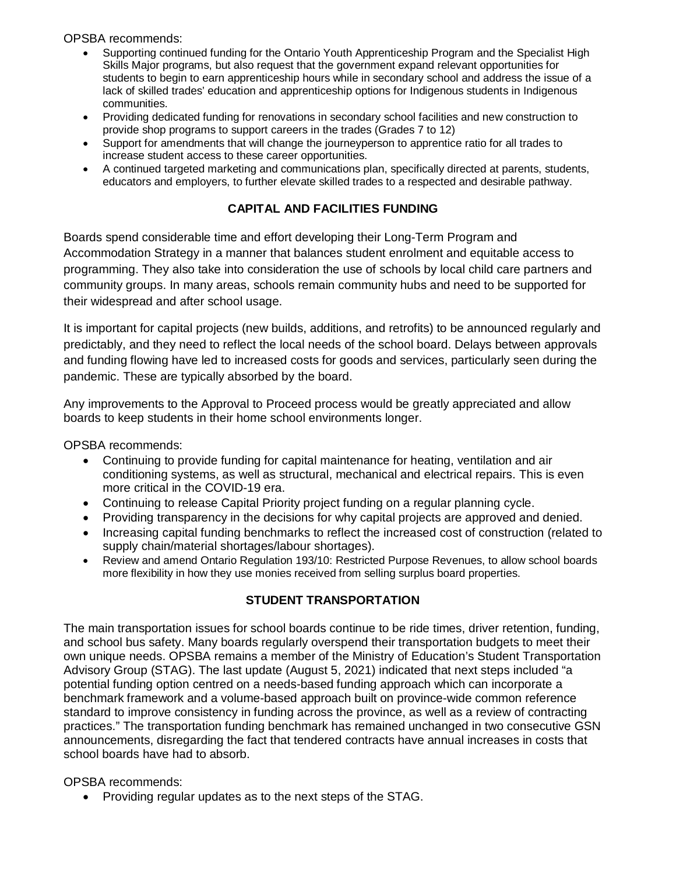OPSBA recommends:

- Supporting continued funding for the Ontario Youth Apprenticeship Program and the Specialist High Skills Major programs, but also request that the government expand relevant opportunities for students to begin to earn apprenticeship hours while in secondary school and address the issue of a lack of skilled trades' education and apprenticeship options for Indigenous students in Indigenous communities.
- Providing dedicated funding for renovations in secondary school facilities and new construction to provide shop programs to support careers in the trades (Grades 7 to 12)
- Support for amendments that will change the journeyperson to apprentice ratio for all trades to increase student access to these career opportunities.
- A continued targeted marketing and communications plan, specifically directed at parents, students, educators and employers, to further elevate skilled trades to a respected and desirable pathway.

#### **CAPITAL AND FACILITIES FUNDING**

Boards spend considerable time and effort developing their Long-Term Program and Accommodation Strategy in a manner that balances student enrolment and equitable access to programming. They also take into consideration the use of schools by local child care partners and community groups. In many areas, schools remain community hubs and need to be supported for their widespread and after school usage.

It is important for capital projects (new builds, additions, and retrofits) to be announced regularly and predictably, and they need to reflect the local needs of the school board. Delays between approvals and funding flowing have led to increased costs for goods and services, particularly seen during the pandemic. These are typically absorbed by the board.

Any improvements to the Approval to Proceed process would be greatly appreciated and allow boards to keep students in their home school environments longer.

OPSBA recommends:

- Continuing to provide funding for capital maintenance for heating, ventilation and air conditioning systems, as well as structural, mechanical and electrical repairs. This is even more critical in the COVID-19 era.
- Continuing to release Capital Priority project funding on a regular planning cycle.
- Providing transparency in the decisions for why capital projects are approved and denied.
- Increasing capital funding benchmarks to reflect the increased cost of construction (related to supply chain/material shortages/labour shortages).
- Review and amend Ontario Regulation 193/10: Restricted Purpose Revenues, to allow school boards more flexibility in how they use monies received from selling surplus board properties.

#### **STUDENT TRANSPORTATION**

The main transportation issues for school boards continue to be ride times, driver retention, funding, and school bus safety. Many boards regularly overspend their transportation budgets to meet their own unique needs. OPSBA remains a member of the Ministry of Education's Student Transportation Advisory Group (STAG). The last update (August 5, 2021) indicated that next steps included "a potential funding option centred on a needs-based funding approach which can incorporate a benchmark framework and a volume-based approach built on province-wide common reference standard to improve consistency in funding across the province, as well as a review of contracting practices." The transportation funding benchmark has remained unchanged in two consecutive GSN announcements, disregarding the fact that tendered contracts have annual increases in costs that school boards have had to absorb.

OPSBA recommends:

• Providing regular updates as to the next steps of the STAG.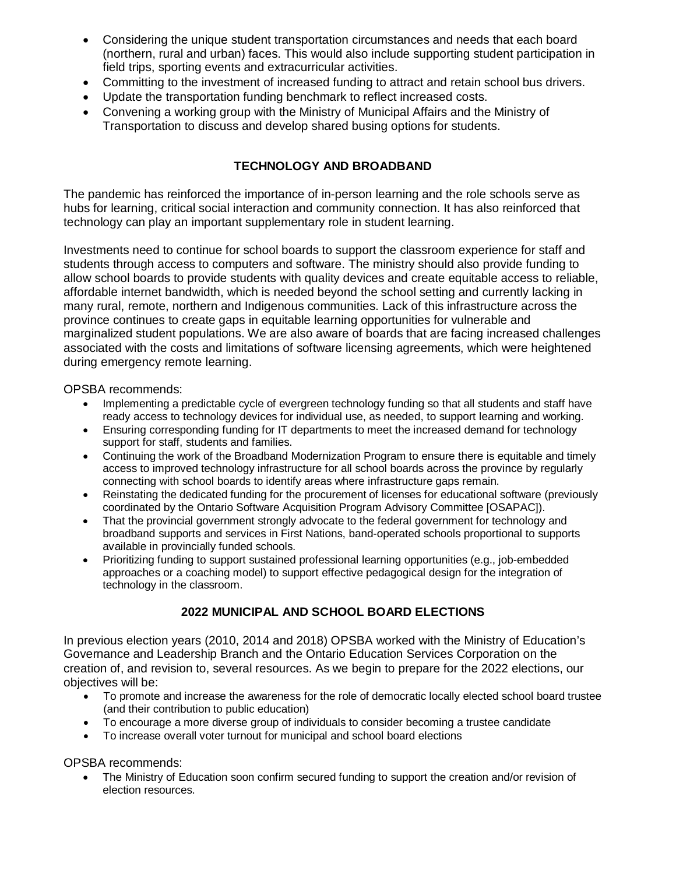- Considering the unique student transportation circumstances and needs that each board (northern, rural and urban) faces. This would also include supporting student participation in field trips, sporting events and extracurricular activities.
- Committing to the investment of increased funding to attract and retain school bus drivers.
- Update the transportation funding benchmark to reflect increased costs.
- Convening a working group with the Ministry of Municipal Affairs and the Ministry of Transportation to discuss and develop shared busing options for students.

#### **TECHNOLOGY AND BROADBAND**

The pandemic has reinforced the importance of in-person learning and the role schools serve as hubs for learning, critical social interaction and community connection. It has also reinforced that technology can play an important supplementary role in student learning.

Investments need to continue for school boards to support the classroom experience for staff and students through access to computers and software. The ministry should also provide funding to allow school boards to provide students with quality devices and create equitable access to reliable, affordable internet bandwidth, which is needed beyond the school setting and currently lacking in many rural, remote, northern and Indigenous communities. Lack of this infrastructure across the province continues to create gaps in equitable learning opportunities for vulnerable and marginalized student populations. We are also aware of boards that are facing increased challenges associated with the costs and limitations of software licensing agreements, which were heightened during emergency remote learning.

OPSBA recommends:

- Implementing a predictable cycle of evergreen technology funding so that all students and staff have ready access to technology devices for individual use, as needed, to support learning and working.
- Ensuring corresponding funding for IT departments to meet the increased demand for technology support for staff, students and families.
- Continuing the work of the Broadband Modernization Program to ensure there is equitable and timely access to improved technology infrastructure for all school boards across the province by regularly connecting with school boards to identify areas where infrastructure gaps remain.
- Reinstating the dedicated funding for the procurement of licenses for educational software (previously coordinated by the Ontario Software Acquisition Program Advisory Committee [OSAPAC]).
- That the provincial government strongly advocate to the federal government for technology and broadband supports and services in First Nations, band-operated schools proportional to supports available in provincially funded schools.
- Prioritizing funding to support sustained professional learning opportunities (e.g., job-embedded approaches or a coaching model) to support effective pedagogical design for the integration of technology in the classroom.

#### **2022 MUNICIPAL AND SCHOOL BOARD ELECTIONS**

In previous election years (2010, 2014 and 2018) OPSBA worked with the Ministry of Education's Governance and Leadership Branch and the Ontario Education Services Corporation on the creation of, and revision to, several resources. As we begin to prepare for the 2022 elections, our objectives will be:

- To promote and increase the awareness for the role of democratic locally elected school board trustee (and their contribution to public education)
- To encourage a more diverse group of individuals to consider becoming a trustee candidate
- To increase overall voter turnout for municipal and school board elections

OPSBA recommends:

The Ministry of Education soon confirm secured funding to support the creation and/or revision of election resources.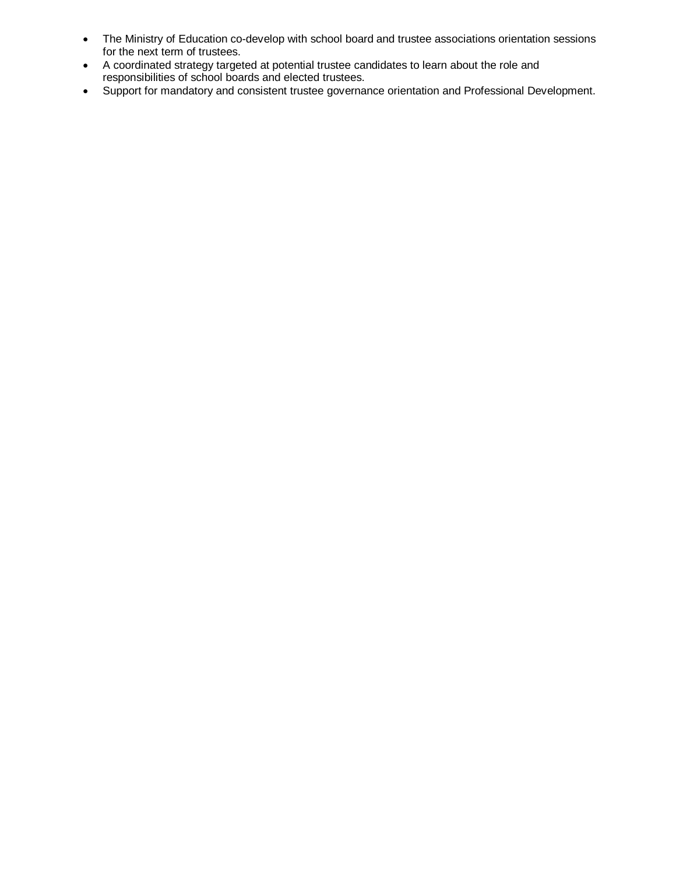- The Ministry of Education co-develop with school board and trustee associations orientation sessions for the next term of trustees.
- A coordinated strategy targeted at potential trustee candidates to learn about the role and responsibilities of school boards and elected trustees.
- Support for mandatory and consistent trustee governance orientation and Professional Development.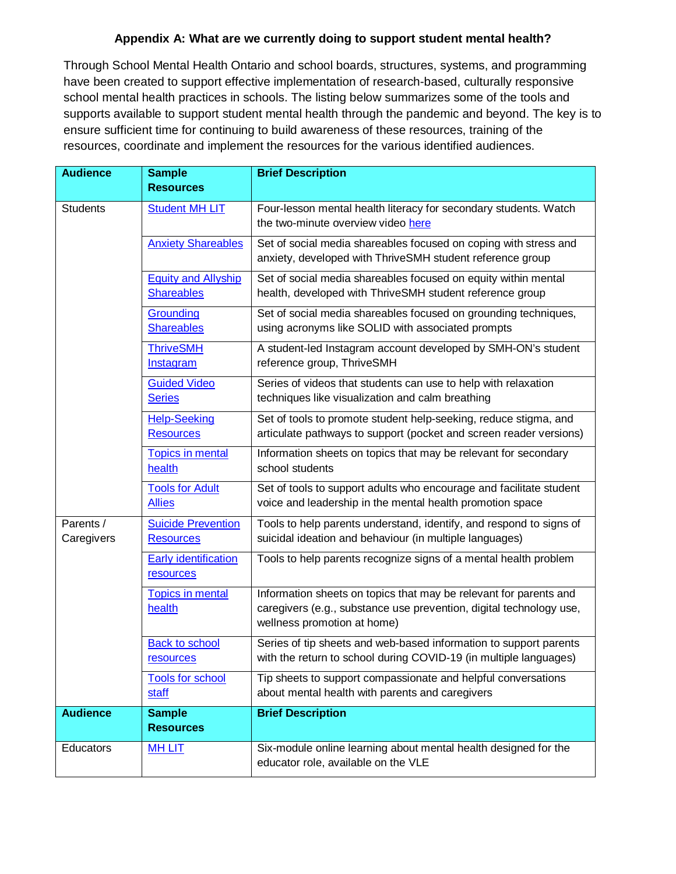#### **Appendix A: What are we currently doing to support student mental health?**

Through School Mental Health Ontario and school boards, structures, systems, and programming have been created to support effective implementation of research-based, culturally responsive school mental health practices in schools. The listing below summarizes some of the tools and supports available to support student mental health through the pandemic and beyond. The key is to ensure sufficient time for continuing to build awareness of these resources, training of the resources, coordinate and implement the resources for the various identified audiences.

| <b>Audience</b>         | <b>Sample</b><br><b>Resources</b>               | <b>Brief Description</b>                                                                                                                                                |
|-------------------------|-------------------------------------------------|-------------------------------------------------------------------------------------------------------------------------------------------------------------------------|
| <b>Students</b>         | <b>Student MH LIT</b>                           | Four-lesson mental health literacy for secondary students. Watch<br>the two-minute overview video here                                                                  |
|                         | <b>Anxiety Shareables</b>                       | Set of social media shareables focused on coping with stress and<br>anxiety, developed with ThriveSMH student reference group                                           |
|                         | <b>Equity and Allyship</b><br><b>Shareables</b> | Set of social media shareables focused on equity within mental<br>health, developed with ThriveSMH student reference group                                              |
|                         | Grounding<br><b>Shareables</b>                  | Set of social media shareables focused on grounding techniques,<br>using acronyms like SOLID with associated prompts                                                    |
|                         | <b>ThriveSMH</b><br>Instagram                   | A student-led Instagram account developed by SMH-ON's student<br>reference group, ThriveSMH                                                                             |
|                         | <b>Guided Video</b><br><b>Series</b>            | Series of videos that students can use to help with relaxation<br>techniques like visualization and calm breathing                                                      |
|                         | <b>Help-Seeking</b><br><b>Resources</b>         | Set of tools to promote student help-seeking, reduce stigma, and<br>articulate pathways to support (pocket and screen reader versions)                                  |
|                         | <b>Topics in mental</b><br>health               | Information sheets on topics that may be relevant for secondary<br>school students                                                                                      |
|                         | <b>Tools for Adult</b><br><b>Allies</b>         | Set of tools to support adults who encourage and facilitate student<br>voice and leadership in the mental health promotion space                                        |
| Parents /<br>Caregivers | <b>Suicide Prevention</b><br><b>Resources</b>   | Tools to help parents understand, identify, and respond to signs of<br>suicidal ideation and behaviour (in multiple languages)                                          |
|                         | <b>Early identification</b><br>resources        | Tools to help parents recognize signs of a mental health problem                                                                                                        |
|                         | <b>Topics in mental</b><br>health               | Information sheets on topics that may be relevant for parents and<br>caregivers (e.g., substance use prevention, digital technology use,<br>wellness promotion at home) |
|                         | <b>Back to school</b><br>resources              | Series of tip sheets and web-based information to support parents<br>with the return to school during COVID-19 (in multiple languages)                                  |
|                         | <b>Tools for school</b><br>staff                | Tip sheets to support compassionate and helpful conversations<br>about mental health with parents and caregivers                                                        |
| <b>Audience</b>         | <b>Sample</b><br><b>Resources</b>               | <b>Brief Description</b>                                                                                                                                                |
| Educators               | <b>MH LIT</b>                                   | Six-module online learning about mental health designed for the<br>educator role, available on the VLE                                                                  |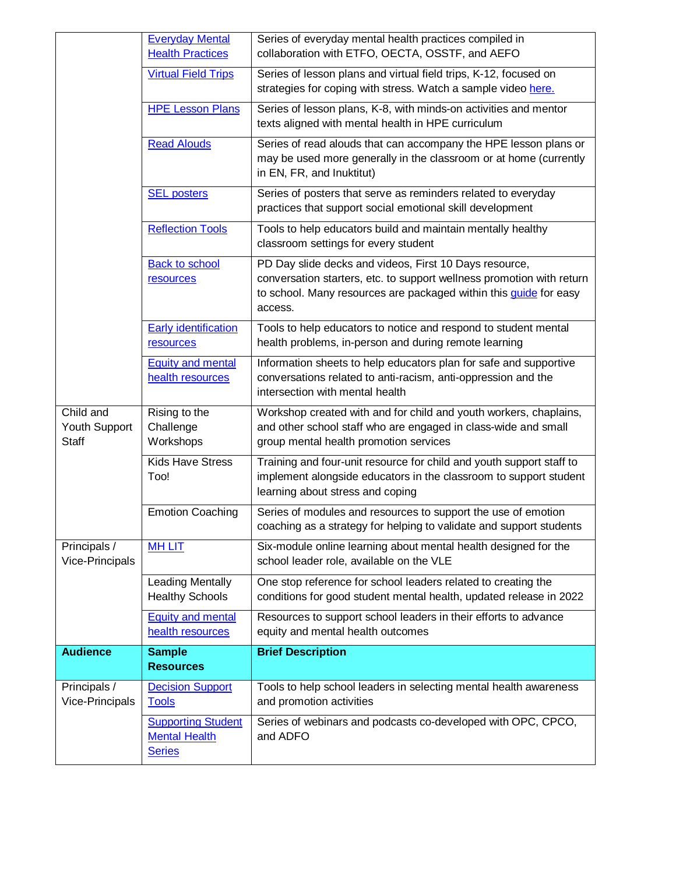|                                            | <b>Everyday Mental</b><br><b>Health Practices</b>                  | Series of everyday mental health practices compiled in<br>collaboration with ETFO, OECTA, OSSTF, and AEFO                                                                                                              |
|--------------------------------------------|--------------------------------------------------------------------|------------------------------------------------------------------------------------------------------------------------------------------------------------------------------------------------------------------------|
|                                            | <b>Virtual Field Trips</b>                                         | Series of lesson plans and virtual field trips, K-12, focused on<br>strategies for coping with stress. Watch a sample video here.                                                                                      |
|                                            | <b>HPE Lesson Plans</b>                                            | Series of lesson plans, K-8, with minds-on activities and mentor<br>texts aligned with mental health in HPE curriculum                                                                                                 |
|                                            | <b>Read Alouds</b>                                                 | Series of read alouds that can accompany the HPE lesson plans or<br>may be used more generally in the classroom or at home (currently<br>in EN, FR, and Inuktitut)                                                     |
|                                            | <b>SEL posters</b>                                                 | Series of posters that serve as reminders related to everyday<br>practices that support social emotional skill development                                                                                             |
|                                            | <b>Reflection Tools</b>                                            | Tools to help educators build and maintain mentally healthy<br>classroom settings for every student                                                                                                                    |
|                                            | <b>Back to school</b><br>resources                                 | PD Day slide decks and videos, First 10 Days resource,<br>conversation starters, etc. to support wellness promotion with return<br>to school. Many resources are packaged within this <i>quide</i> for easy<br>access. |
|                                            | <b>Early identification</b><br>resources                           | Tools to help educators to notice and respond to student mental<br>health problems, in-person and during remote learning                                                                                               |
|                                            | <b>Equity and mental</b><br>health resources                       | Information sheets to help educators plan for safe and supportive<br>conversations related to anti-racism, anti-oppression and the<br>intersection with mental health                                                  |
| Child and<br>Youth Support<br><b>Staff</b> | Rising to the<br>Challenge<br>Workshops                            | Workshop created with and for child and youth workers, chaplains,<br>and other school staff who are engaged in class-wide and small<br>group mental health promotion services                                          |
|                                            | <b>Kids Have Stress</b><br>Too!                                    | Training and four-unit resource for child and youth support staff to<br>implement alongside educators in the classroom to support student<br>learning about stress and coping                                          |
|                                            | <b>Emotion Coaching</b>                                            | Series of modules and resources to support the use of emotion<br>coaching as a strategy for helping to validate and support students                                                                                   |
| Principals /<br>Vice-Principals            | <b>MH LIT</b>                                                      | Six-module online learning about mental health designed for the<br>school leader role, available on the VLE                                                                                                            |
|                                            | <b>Leading Mentally</b><br><b>Healthy Schools</b>                  | One stop reference for school leaders related to creating the<br>conditions for good student mental health, updated release in 2022                                                                                    |
|                                            | <b>Equity and mental</b><br>health resources                       | Resources to support school leaders in their efforts to advance<br>equity and mental health outcomes                                                                                                                   |
| <b>Audience</b>                            | <b>Sample</b><br><b>Resources</b>                                  | <b>Brief Description</b>                                                                                                                                                                                               |
| Principals /<br>Vice-Principals            | <b>Decision Support</b><br><b>Tools</b>                            | Tools to help school leaders in selecting mental health awareness<br>and promotion activities                                                                                                                          |
|                                            | <b>Supporting Student</b><br><b>Mental Health</b><br><b>Series</b> | Series of webinars and podcasts co-developed with OPC, CPCO,<br>and ADFO                                                                                                                                               |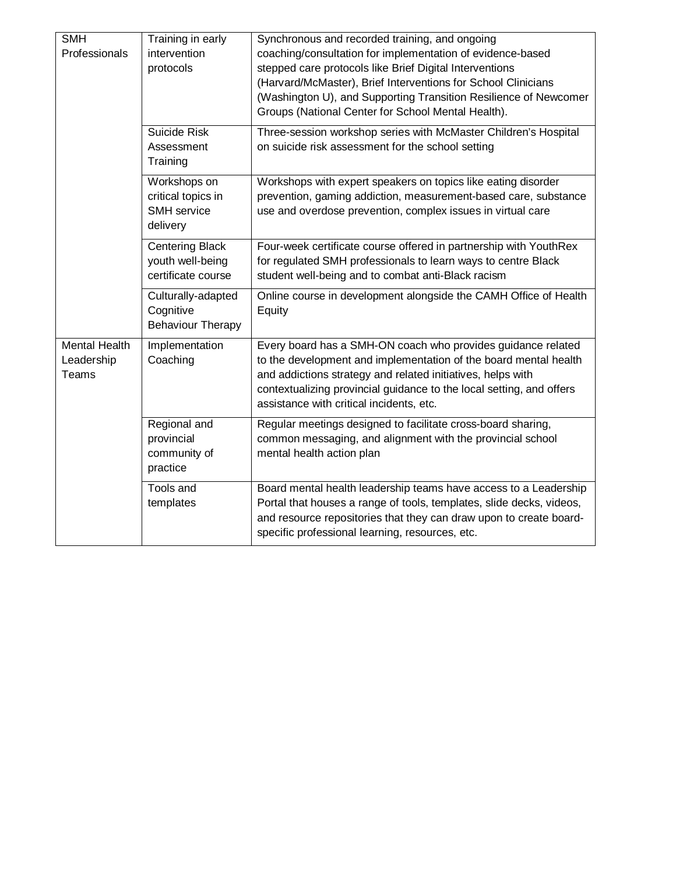| <b>SMH</b><br>Professionals                        | Training in early<br>intervention<br>protocols                   | Synchronous and recorded training, and ongoing<br>coaching/consultation for implementation of evidence-based<br>stepped care protocols like Brief Digital Interventions<br>(Harvard/McMaster), Brief Interventions for School Clinicians<br>(Washington U), and Supporting Transition Resilience of Newcomer<br>Groups (National Center for School Mental Health). |
|----------------------------------------------------|------------------------------------------------------------------|--------------------------------------------------------------------------------------------------------------------------------------------------------------------------------------------------------------------------------------------------------------------------------------------------------------------------------------------------------------------|
|                                                    | Suicide Risk<br>Assessment<br>Training                           | Three-session workshop series with McMaster Children's Hospital<br>on suicide risk assessment for the school setting                                                                                                                                                                                                                                               |
|                                                    | Workshops on<br>critical topics in<br>SMH service<br>delivery    | Workshops with expert speakers on topics like eating disorder<br>prevention, gaming addiction, measurement-based care, substance<br>use and overdose prevention, complex issues in virtual care                                                                                                                                                                    |
|                                                    | <b>Centering Black</b><br>youth well-being<br>certificate course | Four-week certificate course offered in partnership with YouthRex<br>for regulated SMH professionals to learn ways to centre Black<br>student well-being and to combat anti-Black racism                                                                                                                                                                           |
|                                                    | Culturally-adapted<br>Cognitive<br><b>Behaviour Therapy</b>      | Online course in development alongside the CAMH Office of Health<br>Equity                                                                                                                                                                                                                                                                                         |
| <b>Mental Health</b><br>Leadership<br><b>Teams</b> | Implementation<br>Coaching                                       | Every board has a SMH-ON coach who provides guidance related<br>to the development and implementation of the board mental health<br>and addictions strategy and related initiatives, helps with<br>contextualizing provincial guidance to the local setting, and offers<br>assistance with critical incidents, etc.                                                |
|                                                    | Regional and<br>provincial<br>community of<br>practice           | Regular meetings designed to facilitate cross-board sharing,<br>common messaging, and alignment with the provincial school<br>mental health action plan                                                                                                                                                                                                            |
|                                                    | Tools and<br>templates                                           | Board mental health leadership teams have access to a Leadership<br>Portal that houses a range of tools, templates, slide decks, videos,<br>and resource repositories that they can draw upon to create board-<br>specific professional learning, resources, etc.                                                                                                  |